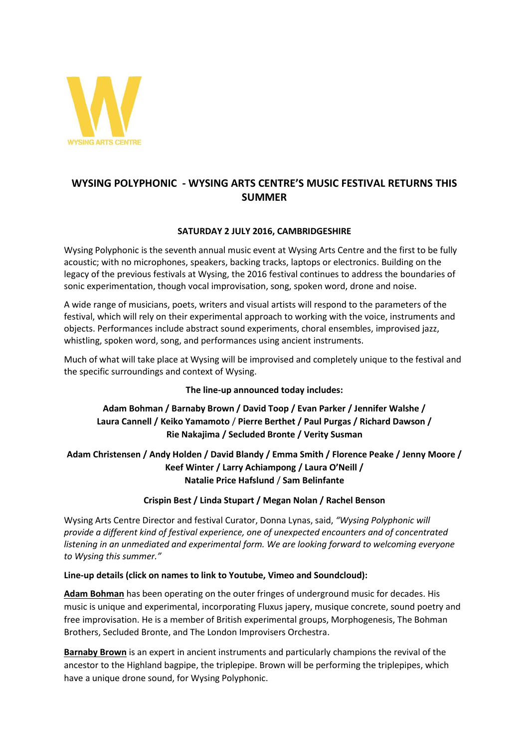

# **WYSING POLYPHONIC - WYSING ARTS CENTRE'S MUSIC FESTIVAL RETURNS THIS SUMMER**

### **SATURDAY 2 JULY 2016, CAMBRIDGESHIRE**

Wysing Polyphonic is the seventh annual music event at Wysing Arts Centre and the first to be fully acoustic; with no microphones, speakers, backing tracks, laptops or electronics. Building on the legacy of the previous festivals at Wysing, the 2016 festival continues to address the boundaries of sonic experimentation, though vocal improvisation, song, spoken word, drone and noise.

A wide range of musicians, poets, writers and visual artists will respond to the parameters of the festival, which will rely on their experimental approach to working with the voice, instruments and objects. Performances include abstract sound experiments, choral ensembles, improvised jazz, whistling, spoken word, song, and performances using ancient instruments.

Much of what will take place at Wysing will be improvised and completely unique to the festival and the specific surroundings and context of Wysing.

#### **The line-up announced today includes:**

## **Adam Bohman / Barnaby Brown / David Toop / Evan Parker / Jennifer Walshe / Laura Cannell / Keiko Yamamoto** / **Pierre Berthet / Paul Purgas / Richard Dawson / Rie Nakajima / Secluded Bronte / Verity Susman**

**Adam Christensen / Andy Holden / David Blandy / Emma Smith / Florence Peake / Jenny Moore / Keef Winter / Larry Achiampong / Laura O'Neill / Natalie Price Hafslund** / **Sam Belinfante**

#### **Crispin Best / Linda Stupart / Megan Nolan / Rachel Benson**

Wysing Arts Centre Director and festival Curator, Donna Lynas, said, *"Wysing Polyphonic will provide a different kind of festival experience, one of unexpected encounters and of concentrated listening in an unmediated and experimental form. We are looking forward to welcoming everyone to Wysing this summer."*

#### **Line-up details (click on names to link to Youtube, Vimeo and Soundcloud):**

**[Adam Bohman](https://www.youtube.com/watch?v=p_ZYJldKNLc)** has been operating on the outer fringes of underground music for decades. His music is unique and experimental, incorporating Fluxus japery, musique concrete, sound poetry and free improvisation. He is a member of British experimental groups, Morphogenesis, The Bohman Brothers, Secluded Bronte, and The London Improvisers Orchestra.

**[Barnaby Brown](https://www.youtube.com/watch?v=E6_hKK06hSs)** is an expert in ancient instruments and particularly champions the revival of the ancestor to the Highland bagpipe, the triplepipe. Brown will be performing the triplepipes, which have a unique drone sound, for Wysing Polyphonic.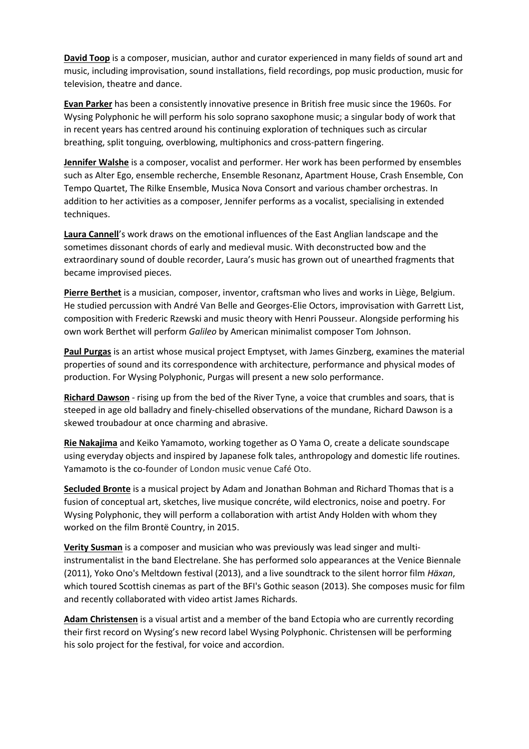**[David Toop](https://www.youtube.com/watch?v=zksjVmk-7b0)** is a composer, musician, author and curator experienced in many fields of sound art and music, including improvisation, sound installations, field recordings, pop music production, music for television, theatre and dance.

**[Evan Parker](https://www.youtube.com/watch?v=KrFT5BcATFo)** has been a consistently innovative presence in British free music since the 1960s. For Wysing Polyphonic he will perform his solo soprano saxophone music; a singular body of work that in recent years has centred around his continuing exploration of techniques such as circular breathing, split tonguing, overblowing, multiphonics and cross-pattern fingering.

**[Jennifer Walshe](https://www.youtube.com/watch?v=klE0LW1HTVQ)** is a composer, vocalist and performer. Her work has been performed by ensembles such as Alter Ego, ensemble recherche, Ensemble Resonanz, Apartment House, Crash Ensemble, Con Tempo Quartet, The Rilke Ensemble, Musica Nova Consort and various chamber orchestras. In addition to her activities as a composer, Jennifer performs as a vocalist, specialising in extended techniques.

**[Laura Cannell](https://www.youtube.com/watch?v=dK4ypurd-aE)**'s work draws on the emotional influences of the East Anglian landscape and the sometimes dissonant chords of early and medieval music. With deconstructed bow and the extraordinary sound of double recorder, Laura's music has grown out of unearthed fragments that became improvised pieces.

**[Pierre Berthet](https://vimeo.com/53259278)** is a musician, composer, inventor, craftsman who lives and works in Liège, Belgium. He studied percussion with André Van Belle and Georges-Elie Octors, improvisation with Garrett List, composition with Frederic Rzewski and music theory with Henri Pousseur. Alongside performing his own work Berthet will perform *Galileo* by American minimalist composer Tom Johnson.

**[Paul Purgas](https://www.youtube.com/watch?v=iu8tspoGuWw)** is an artist whose musical project Emptyset, with James Ginzberg, examines the material properties of sound and its correspondence with architecture, performance and physical modes of production. For Wysing Polyphonic, Purgas will present a new solo performance.

**[Richard Dawson](https://www.youtube.com/watch?v=JQTxhGRjvQc)** - rising up from the bed of the River Tyne, a voice that crumbles and soars, that is steeped in age old balladry and finely-chiselled observations of the mundane, Richard Dawson is a skewed troubadour at once charming and abrasive.

**[Rie Nakajima](https://vimeo.com/64716898)** and Keiko Yamamoto, working together as O Yama O, create a delicate soundscape using everyday objects and inspired by Japanese folk tales, anthropology and domestic life routines. Yamamoto is the co-founder of London music venue Café Oto.

**[Secluded Bronte](https://www.youtube.com/watch?v=Nsqc17uLnxY)** is a musical project by Adam and Jonathan Bohman and Richard Thomas that is a fusion of conceptual art, sketches, live musique concréte, wild electronics, noise and poetry. For Wysing Polyphonic, they will perform a collaboration with artist Andy Holden with whom they worked on the film Brontë Country, in 2015.

**[Verity Susman](https://soundcloud.com/verity-susman)** is a composer and musician who was previously was lead singer and multiinstrumentalist in the band Electrelane. She has performed solo appearances at the Venice Biennale (2011), Yoko Ono's Meltdown festival (2013), and a live soundtrack to the silent horror film *Häxan*, which toured Scottish cinemas as part of the BFI's Gothic season (2013). She composes music for film and recently collaborated with video artist James Richards.

**[Adam Christensen](https://soundcloud.com/sevenpeople/a-very-good-dog-adam-christensen)** is a visual artist and a member of the band Ectopia who are currently recording their first record on Wysing's new record label Wysing Polyphonic. Christensen will be performing his solo project for the festival, for voice and accordion.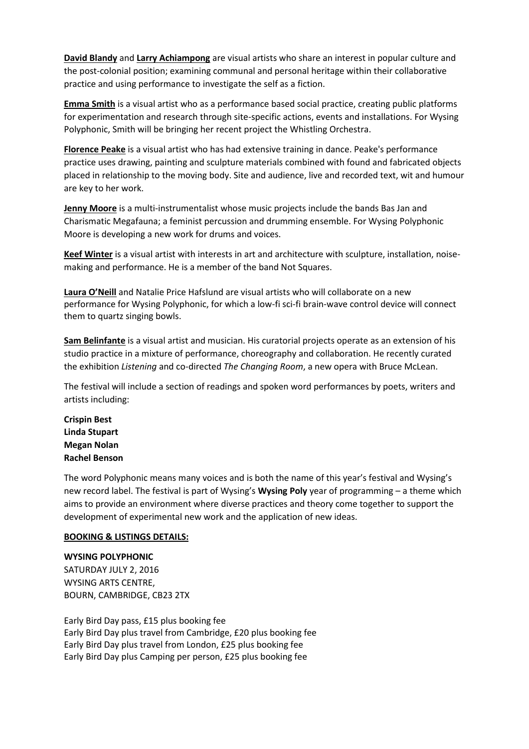**[David Blandy](http://davidblandy.co.uk/)** and **[Larry Achiampong](http://www.larryachiampong.co.uk/)** are visual artists who share an interest in popular culture and the post-colonial position; examining communal and personal heritage within their collaborative practice and using performance to investigate the self as a fiction.

**[Emma Smith](http://www.emma-smith.com/site/)** is a visual artist who as a performance based social practice, creating public platforms for experimentation and research through site-specific actions, events and installations. For Wysing Polyphonic, Smith will be bringing her recent project the Whistling Orchestra.

**[Florence Peake](http://www.florencepeake.com/)** is a visual artist who has had extensive training in dance. Peake's performance practice uses drawing, painting and sculpture materials combined with found and fabricated objects placed in relationship to the moving body. Site and audience, live and recorded text, wit and humour are key to her work.

**[Jenny Moore](https://soundcloud.com/charismatic-megafauna/sequin-shirt)** is a multi-instrumentalist whose music projects include the bands Bas Jan and Charismatic Megafauna; a feminist percussion and drumming ensemble. For Wysing Polyphonic Moore is developing a new work for drums and voices.

**[Keef Winter](http://keefwinter.com/)** is a visual artist with interests in art and architecture with sculpture, installation, noisemaking and performance. He is a member of the band Not Squares.

**[Laura O'Neill](https://indd.adobe.com/view/644adde3-efb7-4253-99db-f64333fa9b8a)** and Natalie Price Hafslund are visual artists who will collaborate on a new performance for Wysing Polyphonic, for which a low-fi sci-fi brain-wave control device will connect them to quartz singing bowls.

**[Sam Belinfante](https://vimeo.com/23207948)** is a visual artist and musician. His curatorial projects operate as an extension of his studio practice in a mixture of performance, choreography and collaboration. He recently curated the exhibition *Listening* and co-directed *The Changing Room*, a new opera with Bruce McLean.

The festival will include a section of readings and spoken word performances by poets, writers and artists including:

**[Crispin Best](http://www.crispinbest.com/) [Linda Stupart](http://lindastupart.net/) [Megan Nolan](http://megannolanwriting.tumblr.com/) [Rachel Benson](http://www.rachelbenson.biz/)**

The word Polyphonic means many voices and is both the name of this year's festival and Wysing's new record label. The festival is part of Wysing's **Wysing Poly** year of programming – a theme which aims to provide an environment where diverse practices and theory come together to support the development of experimental new work and the application of new ideas.

#### **BOOKING & LISTINGS DETAILS:**

**WYSING POLYPHONIC** SATURDAY JULY 2, 2016 WYSING ARTS CENTRE, BOURN, CAMBRIDGE, CB23 2TX

Early Bird Day pass, £15 plus booking fee Early Bird Day plus travel from Cambridge, £20 plus booking fee Early Bird Day plus travel from London, £25 plus booking fee Early Bird Day plus Camping per person, £25 plus booking fee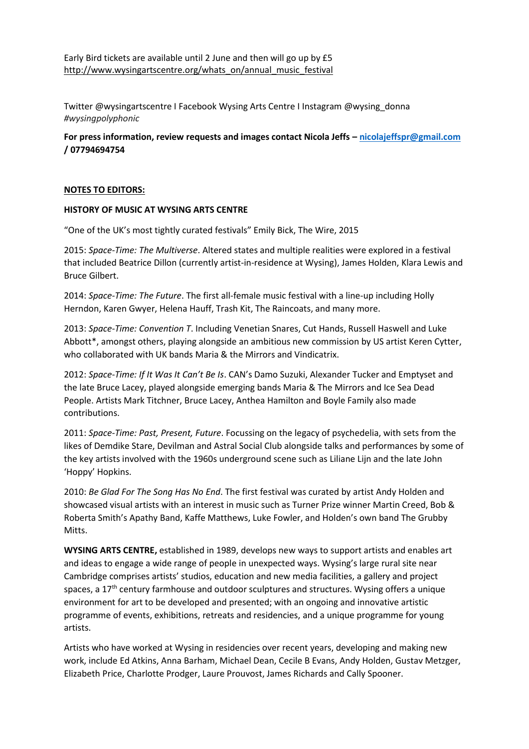Twitter @wysingartscentre I Facebook Wysing Arts Centre I Instagram @wysing\_donna *#wysingpolyphonic* 

**For press information, review requests and images contact Nicola Jeffs – [nicolajeffspr@gmail.com](mailto:nicolajeffspr@gmail.com) / 07794694754** 

#### **NOTES TO EDITORS:**

#### **HISTORY OF MUSIC AT WYSING ARTS CENTRE**

"One of the UK's most tightly curated festivals" Emily Bick, The Wire, 2015

2015: *Space-Time: The Multiverse*. Altered states and multiple realities were explored in a festival that included Beatrice Dillon (currently artist-in-residence at Wysing), James Holden, Klara Lewis and Bruce Gilbert.

2014: *Space-Time: The Future*. The first all-female music festival with a line-up including Holly Herndon, Karen Gwyer, Helena Hauff, Trash Kit, The Raincoats, and many more.

2013: *Space-Time: Convention T*. Including Venetian Snares, Cut Hands, Russell Haswell and Luke Abbott\*, amongst others, playing alongside an ambitious new commission by US artist Keren Cytter, who collaborated with UK bands Maria & the Mirrors and Vindicatrix.

2012: *Space-Time: If It Was It Can't Be Is*. CAN's Damo Suzuki, Alexander Tucker and Emptyset and the late Bruce Lacey, played alongside emerging bands Maria & The Mirrors and Ice Sea Dead People. Artists Mark Titchner, Bruce Lacey, Anthea Hamilton and Boyle Family also made contributions.

2011: *Space-Time: Past, Present, Future*. Focussing on the legacy of psychedelia, with sets from the likes of Demdike Stare, Devilman and Astral Social Club alongside talks and performances by some of the key artists involved with the 1960s underground scene such as Liliane Lijn and the late John 'Hoppy' Hopkins.

2010: *Be Glad For The Song Has No End*. The first festival was curated by artist Andy Holden and showcased visual artists with an interest in music such as Turner Prize winner Martin Creed, Bob & Roberta Smith's Apathy Band, Kaffe Matthews, Luke Fowler, and Holden's own band The Grubby Mitts.

**WYSING ARTS CENTRE,** established in 1989, develops new ways to support artists and enables art and ideas to engage a wide range of people in unexpected ways. Wysing's large rural site near Cambridge comprises artists' studios, education and new media facilities, a gallery and project spaces, a  $17<sup>th</sup>$  century farmhouse and outdoor sculptures and structures. Wysing offers a unique environment for art to be developed and presented; with an ongoing and innovative artistic programme of events, exhibitions, retreats and residencies, and a unique programme for young artists.

Artists who have worked at Wysing in residencies over recent years, developing and making new work, include Ed Atkins, Anna Barham, Michael Dean, Cecile B Evans, Andy Holden, Gustav Metzger, Elizabeth Price, Charlotte Prodger, Laure Prouvost, James Richards and Cally Spooner.